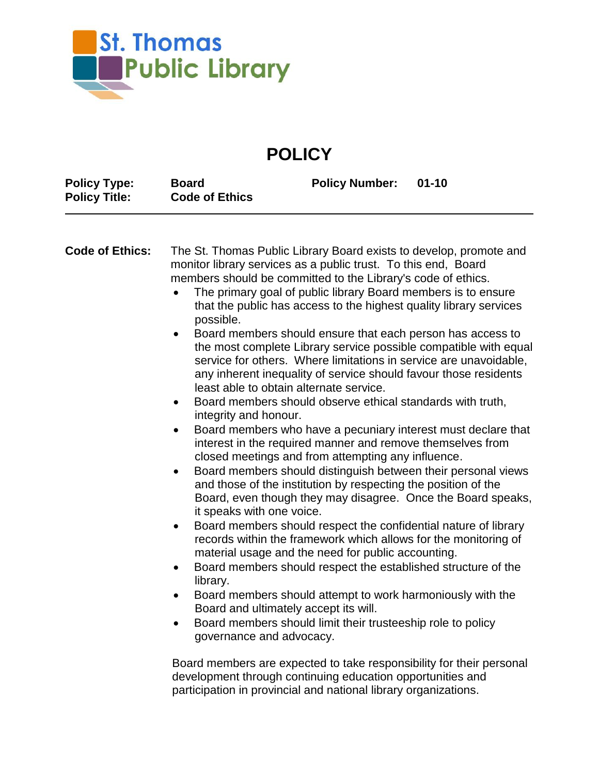

## **POLICY**

| monitor library services as a public trust. To this end, Board<br>members should be committed to the Library's code of ethics.<br>The primary goal of public library Board members is to ensure<br>that the public has access to the highest quality library services |                                                                                                         | The St. Thomas Public Library Board exists to develop, promote and                                                                                                                                                                                                                                                                                                                                                                                                                                                                                                                                                                                                                                                                                                                                                                                                                                                                                                                                                                                                                                                                                                                                                                                                                                                                                                                                                   |
|-----------------------------------------------------------------------------------------------------------------------------------------------------------------------------------------------------------------------------------------------------------------------|---------------------------------------------------------------------------------------------------------|----------------------------------------------------------------------------------------------------------------------------------------------------------------------------------------------------------------------------------------------------------------------------------------------------------------------------------------------------------------------------------------------------------------------------------------------------------------------------------------------------------------------------------------------------------------------------------------------------------------------------------------------------------------------------------------------------------------------------------------------------------------------------------------------------------------------------------------------------------------------------------------------------------------------------------------------------------------------------------------------------------------------------------------------------------------------------------------------------------------------------------------------------------------------------------------------------------------------------------------------------------------------------------------------------------------------------------------------------------------------------------------------------------------------|
|                                                                                                                                                                                                                                                                       | possible.<br>integrity and honour.<br>it speaks with one voice.<br>library.<br>governance and advocacy. | Board members should ensure that each person has access to<br>the most complete Library service possible compatible with equal<br>service for others. Where limitations in service are unavoidable,<br>any inherent inequality of service should favour those residents<br>least able to obtain alternate service.<br>Board members should observe ethical standards with truth,<br>Board members who have a pecuniary interest must declare that<br>interest in the required manner and remove themselves from<br>closed meetings and from attempting any influence.<br>Board members should distinguish between their personal views<br>and those of the institution by respecting the position of the<br>Board, even though they may disagree. Once the Board speaks,<br>Board members should respect the confidential nature of library<br>records within the framework which allows for the monitoring of<br>material usage and the need for public accounting.<br>Board members should respect the established structure of the<br>Board members should attempt to work harmoniously with the<br>Board and ultimately accept its will.<br>Board members should limit their trusteeship role to policy<br>Board members are expected to take responsibility for their personal<br>development through continuing education opportunities and<br>participation in provincial and national library organizations. |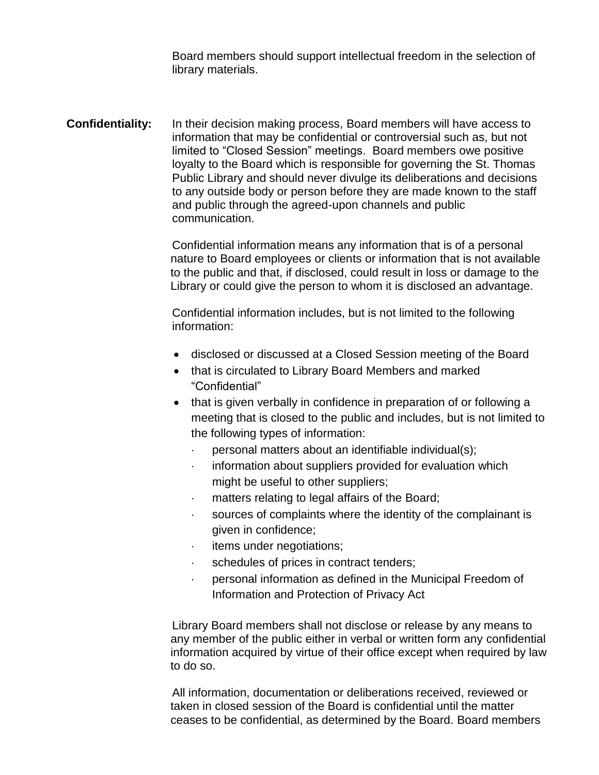Board members should support intellectual freedom in the selection of library materials.

**Confidentiality:** In their decision making process, Board members will have access to information that may be confidential or controversial such as, but not limited to "Closed Session" meetings. Board members owe positive loyalty to the Board which is responsible for governing the St. Thomas Public Library and should never divulge its deliberations and decisions to any outside body or person before they are made known to the staff and public through the agreed-upon channels and public communication.

> Confidential information means any information that is of a personal nature to Board employees or clients or information that is not available to the public and that, if disclosed, could result in loss or damage to the Library or could give the person to whom it is disclosed an advantage.

Confidential information includes, but is not limited to the following information:

- disclosed or discussed at a Closed Session meeting of the Board
- that is circulated to Library Board Members and marked "Confidential"
- that is given verbally in confidence in preparation of or following a meeting that is closed to the public and includes, but is not limited to the following types of information:
	- personal matters about an identifiable individual(s);
	- information about suppliers provided for evaluation which might be useful to other suppliers;
	- matters relating to legal affairs of the Board;
	- sources of complaints where the identity of the complainant is given in confidence;
	- items under negotiations;
	- schedules of prices in contract tenders;
	- personal information as defined in the Municipal Freedom of Information and Protection of Privacy Act

Library Board members shall not disclose or release by any means to any member of the public either in verbal or written form any confidential information acquired by virtue of their office except when required by law to do so.

All information, documentation or deliberations received, reviewed or taken in closed session of the Board is confidential until the matter ceases to be confidential, as determined by the Board. Board members